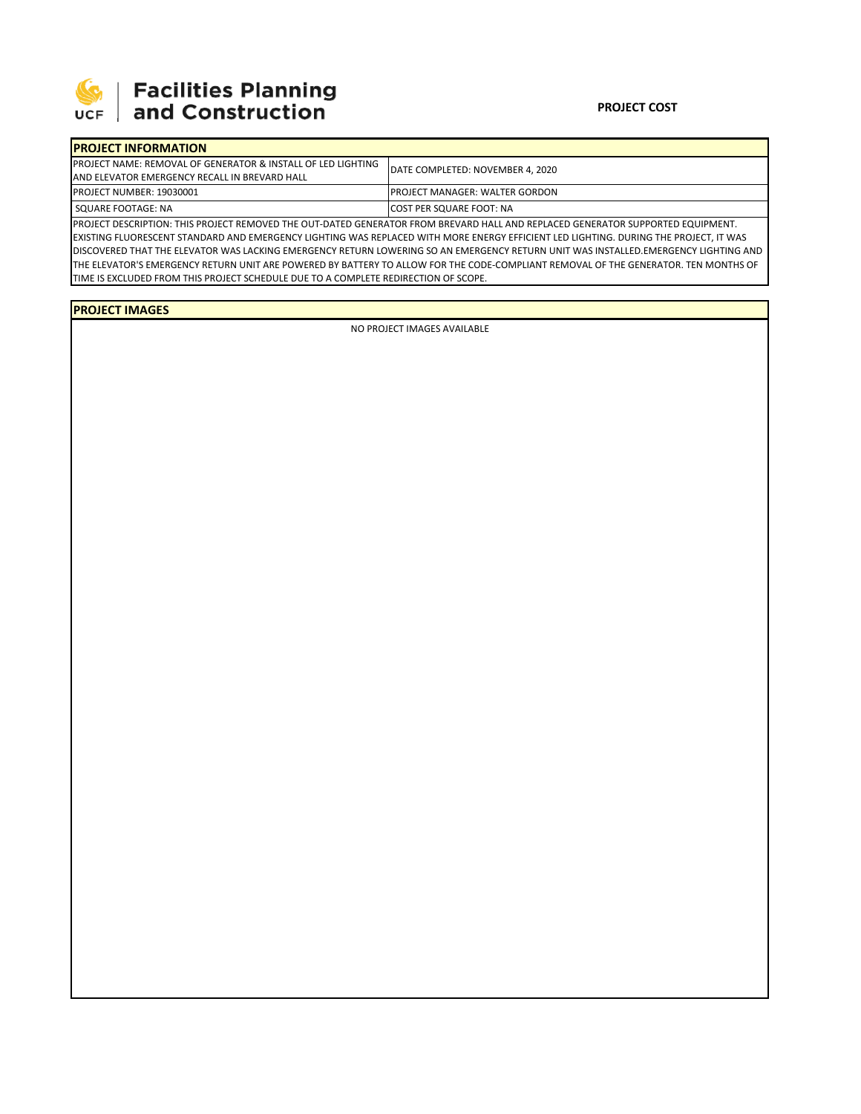

## 

## **PROJECT COST**

| <b>IPROJECT INFORMATION</b>                                              |                                        |  |  |  |
|--------------------------------------------------------------------------|----------------------------------------|--|--|--|
| <b>IPROJECT NAME: REMOVAL OF GENERATOR &amp; INSTALL OF LED LIGHTING</b> | DATE COMPLETED: NOVEMBER 4, 2020       |  |  |  |
| LAND ELEVATOR EMERGENCY RECALL IN BREVARD HALL                           |                                        |  |  |  |
| <b>PROJECT NUMBER: 19030001</b>                                          | <b>IPROJECT MANAGER: WALTER GORDON</b> |  |  |  |
| SQUARE FOOTAGE: NA                                                       | <b>ICOST PER SQUARE FOOT: NA</b>       |  |  |  |
|                                                                          |                                        |  |  |  |

PROJECT DESCRIPTION: THIS PROJECT REMOVED THE OUT‐DATED GENERATOR FROM BREVARD HALL AND REPLACED GENERATOR SUPPORTED EQUIPMENT. EXISTING FLUORESCENT STANDARD AND EMERGENCY LIGHTING WAS REPLACED WITH MORE ENERGY EFFICIENT LED LIGHTING. DURING THE PROJECT, IT WAS DISCOVERED THAT THE ELEVATOR WAS LACKING EMERGENCY RETURN LOWERING SO AN EMERGENCY RETURN UNIT WAS INSTALLED.EMERGENCY LIGHTING AND THE ELEVATOR'S EMERGENCY RETURN UNIT ARE POWERED BY BATTERY TO ALLOW FOR THE CODE‐COMPLIANT REMOVAL OF THE GENERATOR. TEN MONTHS OF TIME IS EXCLUDED FROM THIS PROJECT SCHEDULE DUE TO A COMPLETE REDIRECTION OF SCOPE.

## **PROJECT IMAGES**

NO PROJECT IMAGES AVAILABLE